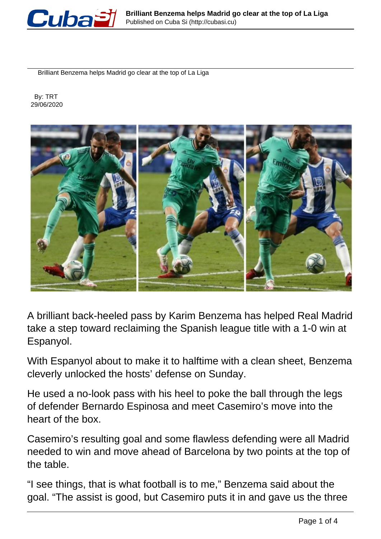

Brilliant Benzema helps Madrid go clear at the top of La Liga

 By: TRT 29/06/2020



A brilliant back-heeled pass by Karim Benzema has helped Real Madrid take a step toward reclaiming the Spanish league title with a 1-0 win at Espanyol.

With Espanyol about to make it to halftime with a clean sheet, Benzema cleverly unlocked the hosts' defense on Sunday.

He used a no-look pass with his heel to poke the ball through the legs of defender Bernardo Espinosa and meet Casemiro's move into the heart of the box.

Casemiro's resulting goal and some flawless defending were all Madrid needed to win and move ahead of Barcelona by two points at the top of the table.

"I see things, that is what football is to me," Benzema said about the goal. "The assist is good, but Casemiro puts it in and gave us the three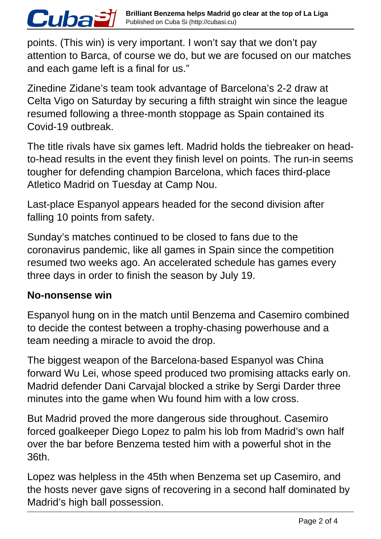points. (This win) is very important. I won't say that we don't pay attention to Barca, of course we do, but we are focused on our matches and each game left is a final for us."

Zinedine Zidane's team took advantage of Barcelona's 2-2 draw at Celta Vigo on Saturday by securing a fifth straight win since the league resumed following a three-month stoppage as Spain contained its Covid-19 outbreak.

The title rivals have six games left. Madrid holds the tiebreaker on headto-head results in the event they finish level on points. The run-in seems tougher for defending champion Barcelona, which faces third-place Atletico Madrid on Tuesday at Camp Nou.

Last-place Espanyol appears headed for the second division after falling 10 points from safety.

Sunday's matches continued to be closed to fans due to the coronavirus pandemic, like all games in Spain since the competition resumed two weeks ago. An accelerated schedule has games every three days in order to finish the season by July 19.

## **No-nonsense win**

*Cubaă* 

Espanyol hung on in the match until Benzema and Casemiro combined to decide the contest between a trophy-chasing powerhouse and a team needing a miracle to avoid the drop.

The biggest weapon of the Barcelona-based Espanyol was China forward Wu Lei, whose speed produced two promising attacks early on. Madrid defender Dani Carvajal blocked a strike by Sergi Darder three minutes into the game when Wu found him with a low cross.

But Madrid proved the more dangerous side throughout. Casemiro forced goalkeeper Diego Lopez to palm his lob from Madrid's own half over the bar before Benzema tested him with a powerful shot in the 36th.

Lopez was helpless in the 45th when Benzema set up Casemiro, and the hosts never gave signs of recovering in a second half dominated by Madrid's high ball possession.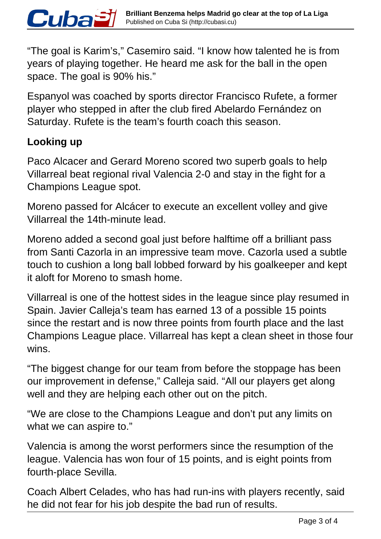"The goal is Karim's," Casemiro said. "I know how talented he is from years of playing together. He heard me ask for the ball in the open space. The goal is 90% his."

Espanyol was coached by sports director Francisco Rufete, a former player who stepped in after the club fired Abelardo Fernández on Saturday. Rufete is the team's fourth coach this season.

## **Looking up**

Cuba£

Paco Alcacer and Gerard Moreno scored two superb goals to help Villarreal beat regional rival Valencia 2-0 and stay in the fight for a Champions League spot.

Moreno passed for Alcácer to execute an excellent volley and give Villarreal the 14th-minute lead.

Moreno added a second goal just before halftime off a brilliant pass from Santi Cazorla in an impressive team move. Cazorla used a subtle touch to cushion a long ball lobbed forward by his goalkeeper and kept it aloft for Moreno to smash home.

Villarreal is one of the hottest sides in the league since play resumed in Spain. Javier Calleja's team has earned 13 of a possible 15 points since the restart and is now three points from fourth place and the last Champions League place. Villarreal has kept a clean sheet in those four wins.

"The biggest change for our team from before the stoppage has been our improvement in defense," Calleja said. "All our players get along well and they are helping each other out on the pitch.

"We are close to the Champions League and don't put any limits on what we can aspire to."

Valencia is among the worst performers since the resumption of the league. Valencia has won four of 15 points, and is eight points from fourth-place Sevilla.

Coach Albert Celades, who has had run-ins with players recently, said he did not fear for his job despite the bad run of results.